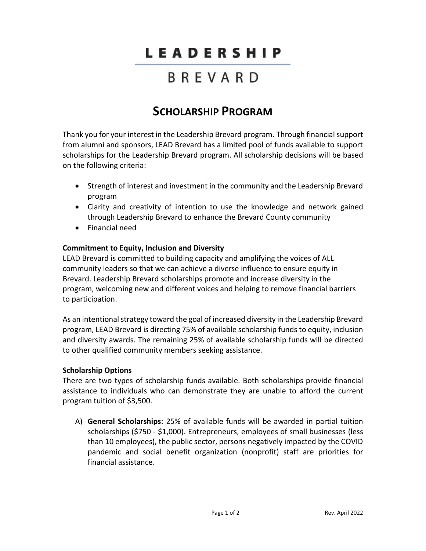# LEADERSHIP

## BREVARD

### **SCHOLARSHIP PROGRAM**

Thank you for your interest in the Leadership Brevard program. Through financial support from alumni and sponsors, LEAD Brevard has a limited pool of funds available to support scholarships for the Leadership Brevard program. All scholarship decisions will be based on the following criteria:

- Strength of interest and investment in the community and the Leadership Brevard program
- Clarity and creativity of intention to use the knowledge and network gained through Leadership Brevard to enhance the Brevard County community
- Financial need

#### **Commitment to Equity, Inclusion and Diversity**

LEAD Brevard is committed to building capacity and amplifying the voices of ALL community leaders so that we can achieve a diverse influence to ensure equity in Brevard. Leadership Brevard scholarships promote and increase diversity in the program, welcoming new and different voices and helping to remove financial barriers to participation.

As an intentional strategy toward the goal of increased diversity in the Leadership Brevard program, LEAD Brevard is directing 75% of available scholarship funds to equity, inclusion and diversity awards. The remaining 25% of available scholarship funds will be directed to other qualified community members seeking assistance.

#### **Scholarship Options**

There are two types of scholarship funds available. Both scholarships provide financial assistance to individuals who can demonstrate they are unable to afford the current program tuition of \$3,500.

A) **General Scholarships**: 25% of available funds will be awarded in partial tuition scholarships (\$750 - \$1,000). Entrepreneurs, employees of small businesses (less than 10 employees), the public sector, persons negatively impacted by the COVID pandemic and social benefit organization (nonprofit) staff are priorities for financial assistance.